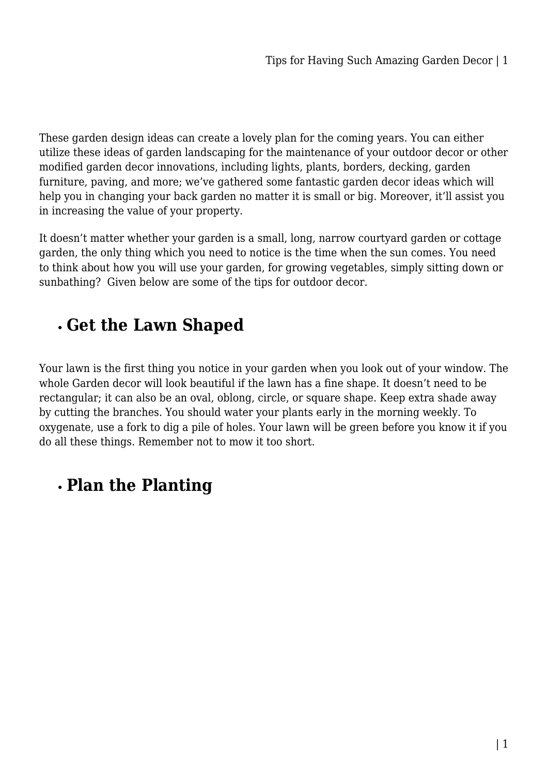These garden design ideas can create a lovely plan for the coming years. You can either utilize these ideas of garden landscaping for the maintenance of your outdoor decor or other modified garden decor innovations, including lights, plants, borders, decking, garden furniture, paving, and more; we've gathered some fantastic garden decor ideas which will help you in changing your back garden no matter it is small or big. Moreover, it'll assist you in increasing the value of your property.

It doesn't matter whether your garden is a small, long, narrow courtyard garden or cottage garden, the only thing which you need to notice is the time when the sun comes. You need to think about how you will use your garden, for growing vegetables, simply sitting down or sunbathing? Given below are some of the tips for outdoor decor.

#### **Get the Lawn Shaped**

Your lawn is the first thing you notice in your garden when you look out of your window. The whole Garden decor will look beautiful if the lawn has a fine shape. It doesn't need to be rectangular; it can also be an oval, oblong, circle, or square shape. Keep extra shade away by cutting the branches. You should water your plants early in the morning weekly. To oxygenate, use a fork to dig a pile of holes. Your lawn will be green before you know it if you do all these things. Remember not to mow it too short.

## **Plan the Planting**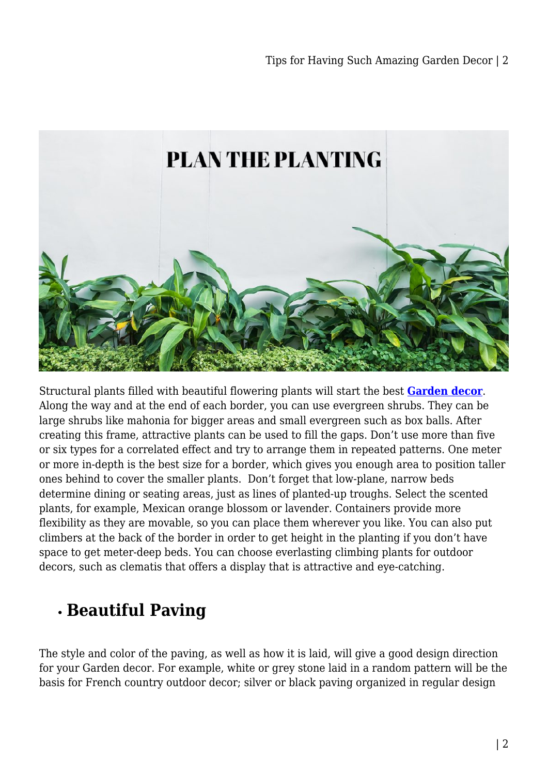

Structural plants filled with beautiful flowering plants will start the best **[Garden decor](https://furnitureoffers.com.au/home-garden/garden-decor/)**. Along the way and at the end of each border, you can use evergreen shrubs. They can be large shrubs like mahonia for bigger areas and small evergreen such as box balls. After creating this frame, attractive plants can be used to fill the gaps. Don't use more than five or six types for a correlated effect and try to arrange them in repeated patterns. One meter or more in-depth is the best size for a border, which gives you enough area to position taller ones behind to cover the smaller plants. Don't forget that low-plane, narrow beds determine dining or seating areas, just as lines of planted-up troughs. Select the scented plants, for example, Mexican orange blossom or lavender. Containers provide more flexibility as they are movable, so you can place them wherever you like. You can also put climbers at the back of the border in order to get height in the planting if you don't have space to get meter-deep beds. You can choose everlasting climbing plants for outdoor decors, such as clematis that offers a display that is attractive and eye-catching.

## **Beautiful Paving**

The style and color of the paving, as well as how it is laid, will give a good design direction for your Garden decor. For example, white or grey stone laid in a random pattern will be the basis for French country outdoor decor; silver or black paving organized in regular design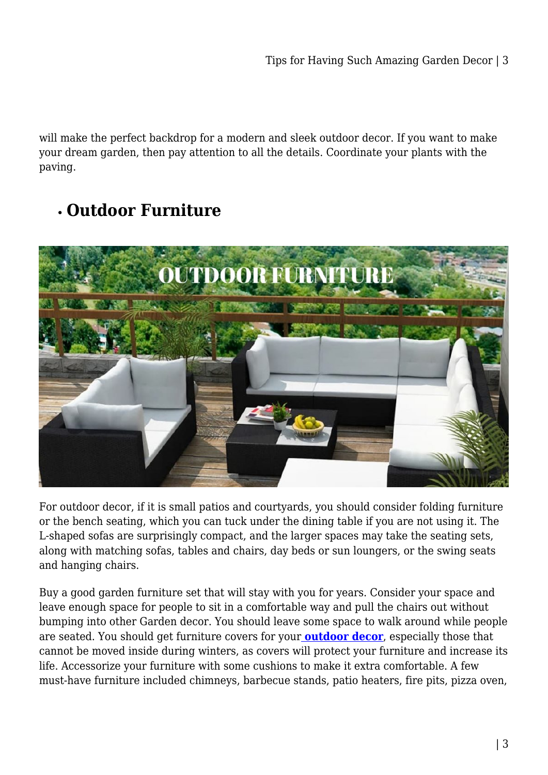will make the perfect backdrop for a modern and sleek outdoor decor. If you want to make your dream garden, then pay attention to all the details. Coordinate your plants with the paving.

# **Outdoor Furniture**



For outdoor decor, if it is small patios and courtyards, you should consider folding furniture or the bench seating, which you can tuck under the dining table if you are not using it. The L-shaped sofas are surprisingly compact, and the larger spaces may take the seating sets, along with matching sofas, tables and chairs, day beds or sun loungers, or the swing seats and hanging chairs.

Buy a good garden furniture set that will stay with you for years. Consider your space and leave enough space for people to sit in a comfortable way and pull the chairs out without bumping into other Garden decor. You should leave some space to walk around while people are seated. You should get furniture covers for your **[outdoor decor](https://furnitureoffers.com.au/)**, especially those that cannot be moved inside during winters, as covers will protect your furniture and increase its life. Accessorize your furniture with some cushions to make it extra comfortable. A few must-have furniture included chimneys, barbecue stands, patio heaters, fire pits, pizza oven,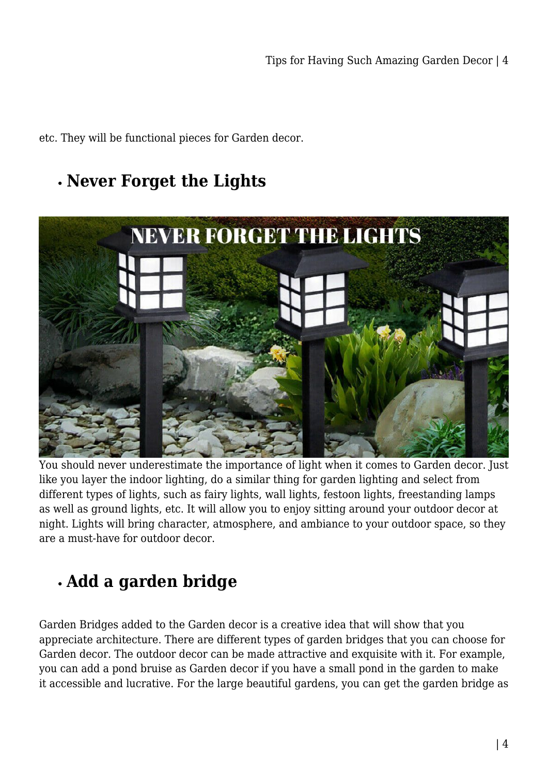etc. They will be functional pieces for Garden decor.

### **Never Forget the Lights**



You should never underestimate the importance of light when it comes to Garden decor. Just like you layer the indoor lighting, do a similar thing for garden lighting and select from different types of lights, such as fairy lights, wall lights, festoon lights, freestanding lamps as well as ground lights, etc. It will allow you to enjoy sitting around your outdoor decor at night. Lights will bring character, atmosphere, and ambiance to your outdoor space, so they are a must-have for outdoor decor.

## **Add a garden bridge**

Garden Bridges added to the Garden decor is a creative idea that will show that you appreciate architecture. There are different types of garden bridges that you can choose for Garden decor. The outdoor decor can be made attractive and exquisite with it. For example, you can add a pond bruise as Garden decor if you have a small pond in the garden to make it accessible and lucrative. For the large beautiful gardens, you can get the garden bridge as